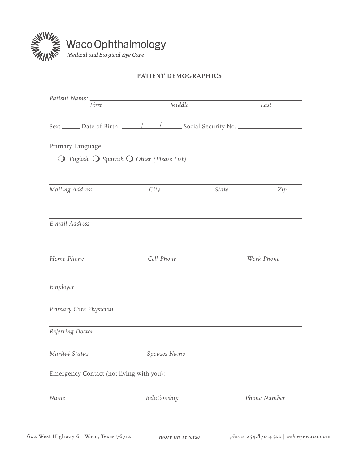

## **Patient demographics**

| First                                    | Middle                                                                            |       | Last         |
|------------------------------------------|-----------------------------------------------------------------------------------|-------|--------------|
|                                          | Sex: ______ Date of Birth: ______/ _____/ _______ Social Security No. ___________ |       |              |
| Primary Language                         |                                                                                   |       |              |
|                                          |                                                                                   |       |              |
|                                          |                                                                                   |       |              |
| Mailing Address                          | City                                                                              | State | Zip          |
| E-mail Address                           |                                                                                   |       |              |
| Home Phone                               | Cell Phone                                                                        |       | Work Phone   |
| Employer                                 |                                                                                   |       |              |
| Primary Care Physician                   |                                                                                   |       |              |
| Referring Doctor                         |                                                                                   |       |              |
| Marital Status                           | Spouses Name                                                                      |       |              |
| Emergency Contact (not living with you): |                                                                                   |       |              |
| Name                                     | Relationship                                                                      |       | Phone Number |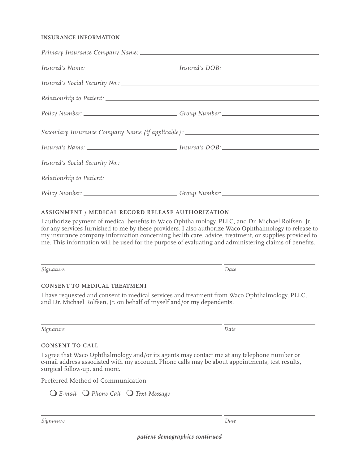### **Insurance Information**

| Secondary Insurance Company Name (if applicable): ______________________________ |  |
|----------------------------------------------------------------------------------|--|
|                                                                                  |  |
|                                                                                  |  |
|                                                                                  |  |
|                                                                                  |  |

## **Assignment / Medical Record Release Authorization**

I authorize payment of medical benefits to Waco Ophthalmology, PLLC, and Dr. Michael Rolfsen, Jr. for any services furnished to me by these providers. I also authorize Waco Ophthalmology to release to my insurance company information concerning health care, advice, treatment, or supplies provided to me. This information will be used for the purpose of evaluating and administering claims of benefits.

*Signature Date*

### **Consent to Medical Treatment**

I have requested and consent to medical services and treatment from Waco Ophthalmology, PLLC, and Dr. Michael Rolfsen, Jr. on behalf of myself and/or my dependents.

*Signature Date*

### **Consent to Call**

I agree that Waco Ophthalmology and/or its agents may contact me at any telephone number or e-mail address associated with my account. Phone calls may be about appointments, test results, surgical follow-up, and more.

Preferred Method of Communication

*E-mail Phone Call Text Message* 

 $\overline{a}$ 

 $\overline{a}$ 

 $\overline{a}$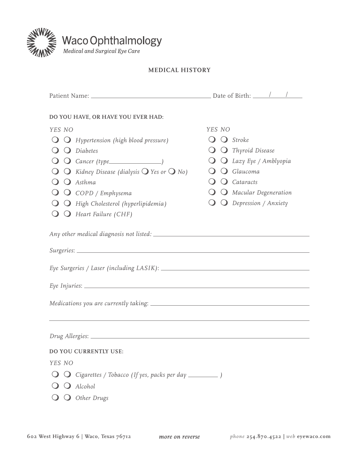

# Waco Ophthalmology

## **MEdical history**

| DO YOU HAVE, OR HAVE YOU EVER HAD:                                                |                                            |  |  |
|-----------------------------------------------------------------------------------|--------------------------------------------|--|--|
| YES NO                                                                            | YES NO                                     |  |  |
| $\bigcirc$ $\bigcirc$ Hypertension (high blood pressure)                          | $\bigcirc$ Stroke                          |  |  |
| $\bigcirc$ $\bigcirc$ Diabetes                                                    | $\bigcirc$ $\bigcirc$ Thyroid Disease      |  |  |
|                                                                                   | $\bigcirc$ $\bigcirc$ Lazy Eye / Amblyopia |  |  |
| $\bigcirc$ Kidney Disease (dialysis $\bigcirc$ Yes or $\bigcirc$ No)              | $\bigcirc$ Glaucoma                        |  |  |
| $\bigcirc$ $\bigcirc$ Asthma                                                      | $\bigcirc$ Cataracts                       |  |  |
| $\bigcirc$ $\bigcirc$ COPD / Emphysema                                            | $\bigcirc$ $\bigcirc$ Macular Degeneration |  |  |
| $\bigcirc$ High Cholesterol (hyperlipidemia)                                      | $\bigcirc$ $\bigcirc$ Depression / Anxiety |  |  |
| $\bigcirc$ Heart Failure (CHF)                                                    |                                            |  |  |
|                                                                                   |                                            |  |  |
| ,我们也不能在这里,我们也不能会在这里,我们也不能会在这里,我们也不能会在这里,我们也不能会在这里,我们也不能会在这里,我们也不能会在这里,我们也不能会不能会在这 |                                            |  |  |
|                                                                                   |                                            |  |  |
| DO YOU CURRENTLY USE:                                                             |                                            |  |  |
| YES NO                                                                            |                                            |  |  |
|                                                                                   |                                            |  |  |
| Alcohol                                                                           |                                            |  |  |
| Other Drugs                                                                       |                                            |  |  |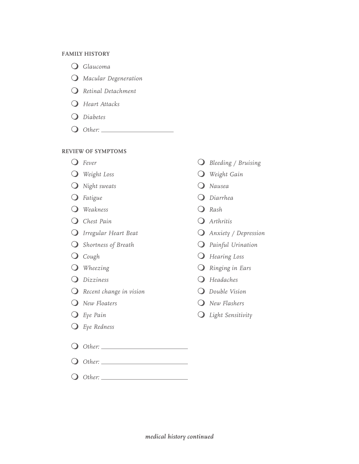#### **FAMILY HISTORY**

 *Glaucoma*

- *Macular Degeneration*
- *Retinal Detachment*
- *Heart Attacks*
- *Diabetes*
- *Other:*

## **REVIEW OF SYMPTOMS**

- 
- 
- **a** Night sweats **a** Nausea
- 
- **a** *Weakness Rash*
- **a** *Chest Pain Chest Pain Chest Pain Chest Pain*
- 
- **a** Shortness of Breath **C** Painful Urination
- 
- 
- 
- *Recent change in vision Double Vision*
- 
- 
- *Eye Redness*
- *Other:*
- *Other:*
- *Other:*
- **a** Fever **a** Bleeding / Bruising
- **a** Weight Loss **a** Weight Gain
	-
- *Fatigue Diarrhea*
	-
	-
- *O Irregular Heart Beat O Anxiety / Depression* 
	-
- **a** Cough  **Cough** *Cough Cough Cough Cough Cough Cough Cough Cough Cough Cough Cough Cough Cough Cough Cough Cough Cough Cough Cough Cough Cou*
- **a** Wheezing **a C** Ringing in Ears
- **a** Dizziness **a**  $\alpha$  Headaches
	-
- *New Floaters New Flashers*
- *Eye Pain Light Sensitivity*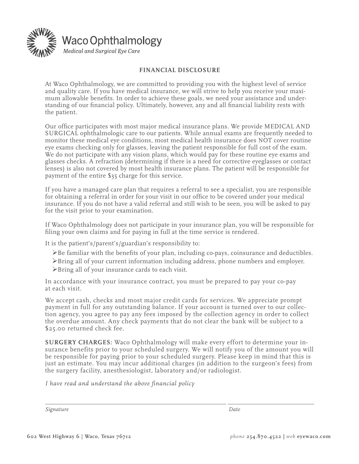

## **Financial Disclosure**

At Waco Ophthalmology, we are committed to providing you with the highest level of service and quality care. If you have medical insurance, we will strive to help you receive your maximum allowable benefits. In order to achieve these goals, we need your assistance and understanding of our financial policy. Ultimately, however, any and all financial liability rests with the patient.

Our office participates with most major medical insurance plans. We provide MEDICAL AND SURGICAL ophthalmologic care to our patients. While annual exams are frequently needed to monitor these medical eye conditions, most medical health insurance does NOT cover routine eye exams checking only for glasses, leaving the patient responsible for full cost of the exam. We do not participate with any vision plans, which would pay for these routine eye exams and glasses checks. A refraction (determining if there is a need for corrective eyeglasses or contact lenses) is also not covered by most health insurance plans. The patient will be responsible for payment of the entire \$35 charge for this service.

If you have a managed care plan that requires a referral to see a specialist, you are responsible for obtaining a referral in order for your visit in our office to be covered under your medical insurance. If you do not have a valid referral and still wish to be seen, you will be asked to pay for the visit prior to your examination.

If Waco Ophthalmology does not participate in your insurance plan, you will be responsible for filing your own claims and for paying in full at the time service is rendered.

It is the patient's/parent's/guardian's responsibility to:

- Be familiar with the benefits of your plan, including co-pays, coinsurance and deductibles.
- Bring all of your current information including address, phone numbers and employer.
- Bring all of your insurance cards to each visit.

In accordance with your insurance contract, you must be prepared to pay your co-pay at each visit.

We accept cash, checks and most major credit cards for services. We appreciate prompt payment in full for any outstanding balance. If your account is turned over to our collection agency, you agree to pay any fees imposed by the collection agency in order to collect the overdue amount. Any check payments that do not clear the bank will be subject to a \$25.00 returned check fee.

**SURGERY CHARGES:** Waco Ophthalmology will make every effort to determine your insurance benefits prior to your scheduled surgery. We will notify you of the amount you will be responsible for paying prior to your scheduled surgery. Please keep in mind that this is just an estimate. You may incur additional charges (in addition to the surgeon's fees) from the surgery facility, anesthesiologist, laboratory and/or radiologist.

*I have read and understand the above financial policy*

*Signature Date*

 $\overline{a}$